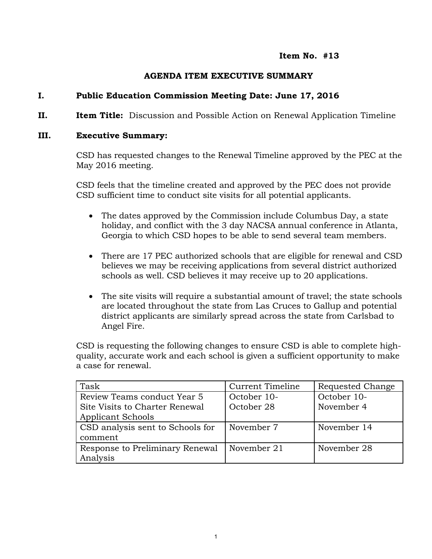### **Item No. #13**

## **AGENDA ITEM EXECUTIVE SUMMARY**

## **I. Public Education Commission Meeting Date: June 17, 2016**

**II. Item Title:** Discussion and Possible Action on Renewal Application Timeline

### **III. Executive Summary:**

CSD has requested changes to the Renewal Timeline approved by the PEC at the May 2016 meeting.

CSD feels that the timeline created and approved by the PEC does not provide CSD sufficient time to conduct site visits for all potential applicants.

- The dates approved by the Commission include Columbus Day, a state holiday, and conflict with the 3 day NACSA annual conference in Atlanta, Georgia to which CSD hopes to be able to send several team members.
- There are 17 PEC authorized schools that are eligible for renewal and CSD believes we may be receiving applications from several district authorized schools as well. CSD believes it may receive up to 20 applications.
- The site visits will require a substantial amount of travel; the state schools are located throughout the state from Las Cruces to Gallup and potential district applicants are similarly spread across the state from Carlsbad to Angel Fire.

CSD is requesting the following changes to ensure CSD is able to complete highquality, accurate work and each school is given a sufficient opportunity to make a case for renewal.

| Task                             | Current Timeline | Requested Change |
|----------------------------------|------------------|------------------|
| Review Teams conduct Year 5      | October 10-      | October 10-      |
| Site Visits to Charter Renewal   | October 28       | November 4       |
| <b>Applicant Schools</b>         |                  |                  |
| CSD analysis sent to Schools for | November 7       | November 14      |
| comment                          |                  |                  |
| Response to Preliminary Renewal  | November 21      | November 28      |
| Analysis                         |                  |                  |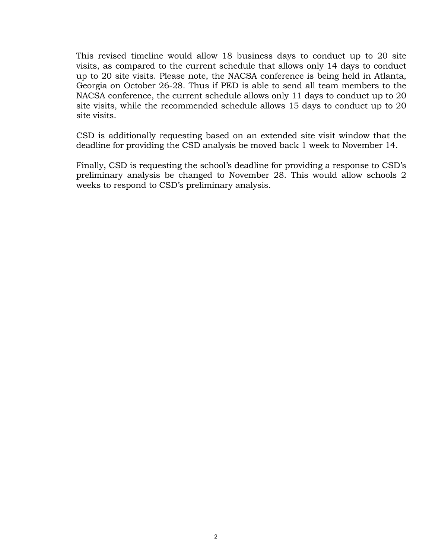This revised timeline would allow 18 business days to conduct up to 20 site visits, as compared to the current schedule that allows only 14 days to conduct up to 20 site visits. Please note, the NACSA conference is being held in Atlanta, Georgia on October 26-28. Thus if PED is able to send all team members to the NACSA conference, the current schedule allows only 11 days to conduct up to 20 site visits, while the recommended schedule allows 15 days to conduct up to 20 site visits.

CSD is additionally requesting based on an extended site visit window that the deadline for providing the CSD analysis be moved back 1 week to November 14.

Finally, CSD is requesting the school's deadline for providing a response to CSD's preliminary analysis be changed to November 28. This would allow schools 2 weeks to respond to CSD's preliminary analysis.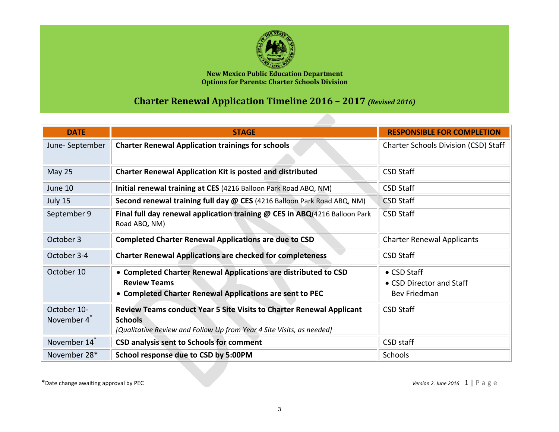

**New Mexico Public Education Department Options for Parents: Charter Schools Division**

# **Charter Renewal Application Timeline 2016 – 2017** *(Revised 2016)*

| <b>DATE</b>                            | <b>STAGE</b>                                                                                                                                                           | <b>RESPONSIBLE FOR COMPLETION</b>                       |
|----------------------------------------|------------------------------------------------------------------------------------------------------------------------------------------------------------------------|---------------------------------------------------------|
| June-September                         | <b>Charter Renewal Application trainings for schools</b>                                                                                                               | <b>Charter Schools Division (CSD) Staff</b>             |
| May 25                                 | <b>Charter Renewal Application Kit is posted and distributed</b>                                                                                                       | <b>CSD Staff</b>                                        |
| June 10                                | Initial renewal training at CES (4216 Balloon Park Road ABQ, NM)                                                                                                       | <b>CSD Staff</b>                                        |
| July 15                                | Second renewal training full day @ CES (4216 Balloon Park Road ABQ, NM)                                                                                                | <b>CSD Staff</b>                                        |
| September 9                            | Final full day renewal application training @ CES in ABQ(4216 Balloon Park<br>Road ABQ, NM)                                                                            | <b>CSD Staff</b>                                        |
| October 3                              | <b>Completed Charter Renewal Applications are due to CSD</b>                                                                                                           | <b>Charter Renewal Applicants</b>                       |
| October 3-4                            | <b>Charter Renewal Applications are checked for completeness</b>                                                                                                       | <b>CSD Staff</b>                                        |
| October 10                             | • Completed Charter Renewal Applications are distributed to CSD<br><b>Review Teams</b><br>• Completed Charter Renewal Applications are sent to PEC                     | • CSD Staff<br>• CSD Director and Staff<br>Bev Friedman |
| October 10-<br>November 4 <sup>*</sup> | <b>Review Teams conduct Year 5 Site Visits to Charter Renewal Applicant</b><br><b>Schools</b><br>[Qualitative Review and Follow Up from Year 4 Site Visits, as needed] | <b>CSD Staff</b>                                        |
| November 14 <sup>*</sup>               | <b>CSD analysis sent to Schools for comment</b>                                                                                                                        | CSD staff                                               |
| November 28*                           | School response due to CSD by 5:00PM                                                                                                                                   | Schools                                                 |

\*Date change awaiting approval by PEC *Version 2. June 2016* 1 | P a g e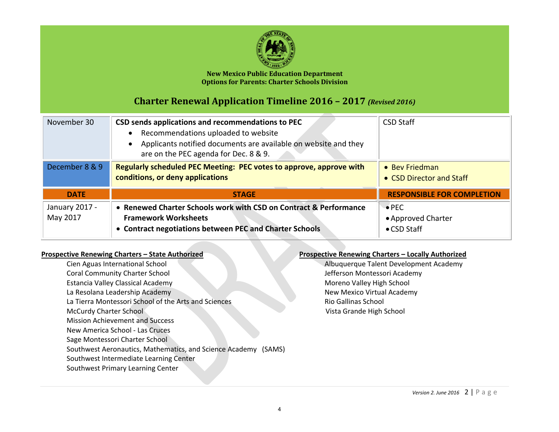

#### **New Mexico Public Education Department Options for Parents: Charter Schools Division**

## **Charter Renewal Application Timeline 2016 – 2017** *(Revised 2016)*

| November 30                | CSD sends applications and recommendations to PEC<br>Recommendations uploaded to website<br>Applicants notified documents are available on website and they<br>are on the PEC agenda for Dec. 8 & 9. | <b>CSD Staff</b>                                   |
|----------------------------|------------------------------------------------------------------------------------------------------------------------------------------------------------------------------------------------------|----------------------------------------------------|
| December 8 & 9             | Regularly scheduled PEC Meeting: PEC votes to approve, approve with<br>conditions, or deny applications                                                                                              | • Bey Friedman<br>• CSD Director and Staff         |
| <b>DATE</b>                | <b>STAGE</b>                                                                                                                                                                                         | <b>RESPONSIBLE FOR COMPLETION</b>                  |
| January 2017 -<br>May 2017 | • Renewed Charter Schools work with CSD on Contract & Performance<br><b>Framework Worksheets</b><br>• Contract negotiations between PEC and Charter Schools                                          | $\bullet$ PEC<br>• Approved Charter<br>• CSD Staff |

#### **Prospective Renewing Charters – State Authorized**

Cien Aguas International School Coral Community Charter School Estancia Valley Classical Academy La Resolana Leadership Academy La Tierra Montessori School of the Arts and Sciences McCurdy Charter School Mission Achievement and Success New America School - Las Cruces Sage Montessori Charter School Southwest Aeronautics, Mathematics, and Science Academy (SAMS) Southwest Intermediate Learning Center Southwest Primary Learning Center

#### **Prospective Renewing Charters – Locally Authorized**

Albuquerque Talent Development Academy Jefferson Montessori Academy Moreno Valley High School New Mexico Virtual Academy Rio Gallinas School Vista Grande High School